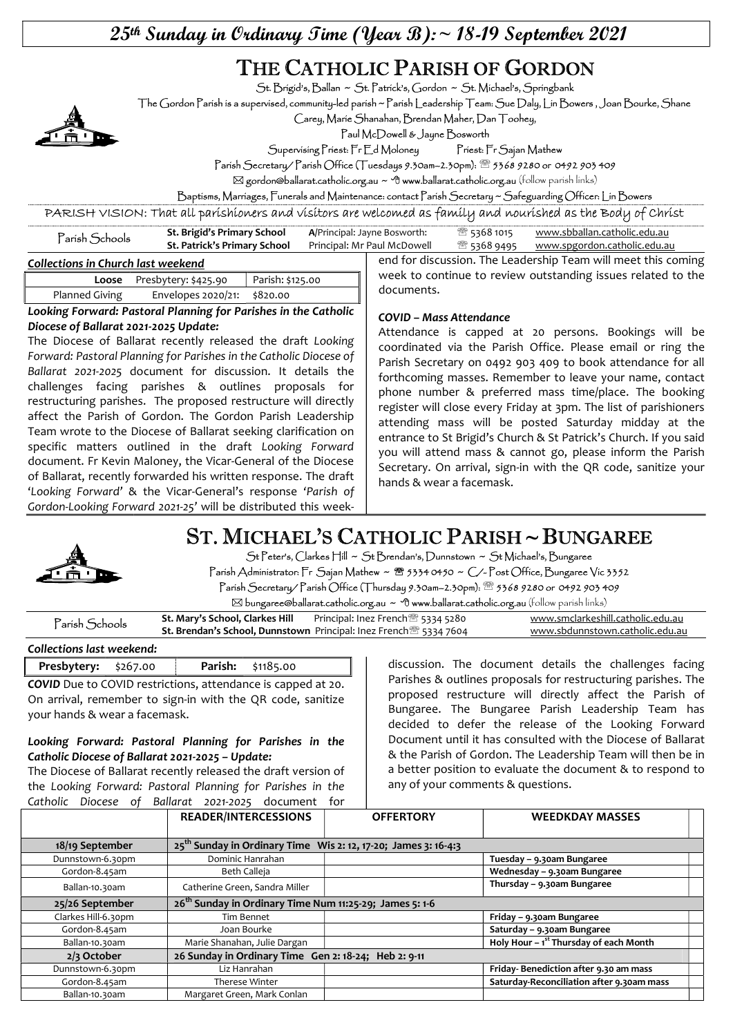$25$ <sup>th</sup> Sunday in Ordinary Time (Year B): ~ 18-19 September 2021

# THE CATHOLIC PARISH OF GORDON

St. Brigid's, Ballan ~ St. Patrick's, Gordon ~ St. Michael's, Springbank

The Gordon Parish is a supervised, community-led parish ~ Parish Leadership Team: Sue Daly, Lin Bowers , Joan Bourke, Shane

Carey, Marie Shanahan, Brendan Maher, Dan Toohey,

Paul McDowell & Jayne Bosworth

Supervising Priest: Fr Ed Moloney Priest: Fr Sajan Mathew

Parish Secretary/ Parish Office (Tuesdays 9.30am–2.30pm): 5368 9280 or 0492 903 409

 $\boxtimes$  gordon@ballarat.catholic.org.au ~  $\oplus$  www.ballarat.catholic.org.au (follow parish links)

documents.

Baptisms, Marriages, Funerals and Maintenance: contact Parish Secretary ~ Safeguarding Officer: Lin Bowers

PARISH VISION: That all parishioners and visitors are welcomed as family and nourished as the Body of Christ

| Parísh Schools                     | St. Brigid's Primary School<br>St. Patrick's Primary School | A/Principal: Jayne Bosworth:<br>Principal: Mr Paul McDowell |  | ී 5368 1015 | www.sbballan.catholic.edu.au<br><sup>®</sup> 5368 9495 www.spgordon.catholic.edu.au |
|------------------------------------|-------------------------------------------------------------|-------------------------------------------------------------|--|-------------|-------------------------------------------------------------------------------------|
| `ollections in Church last weekend |                                                             |                                                             |  |             | end for discussion. The Leadership Team will meet this coming                       |

#### Collections in Church last weekend

|                       | Loose Presbytery: \$425.90  | Parish: \$125.00 |  |  |  |
|-----------------------|-----------------------------|------------------|--|--|--|
| <b>Planned Giving</b> | Envelopes 2020/21: \$820.00 |                  |  |  |  |

Looking Forward: Pastoral Planning for Parishes in the Catholic Diocese of Ballarat 2021-2025 Update:

The Diocese of Ballarat recently released the draft Looking Forward: Pastoral Planning for Parishes in the Catholic Diocese of Ballarat 2021-2025 document for discussion. It details the challenges facing parishes & outlines proposals for restructuring parishes. The proposed restructure will directly affect the Parish of Gordon. The Gordon Parish Leadership Team wrote to the Diocese of Ballarat seeking clarification on specific matters outlined in the draft Looking Forward document. Fr Kevin Maloney, the Vicar-General of the Diocese of Ballarat, recently forwarded his written response. The draft 'Looking Forward' & the Vicar-General's response 'Parish of Gordon-Looking Forward 2021-25' will be distributed this week-

#### COVID – Mass Attendance

Attendance is capped at 20 persons. Bookings will be coordinated via the Parish Office. Please email or ring the Parish Secretary on 0492 903 409 to book attendance for all forthcoming masses. Remember to leave your name, contact phone number & preferred mass time/place. The booking register will close every Friday at 3pm. The list of parishioners attending mass will be posted Saturday midday at the entrance to St Brigid's Church & St Patrick's Church. If you said you will attend mass & cannot go, please inform the Parish Secretary. On arrival, sign-in with the QR code, sanitize your hands & wear a facemask.

week to continue to review outstanding issues related to the

# ST. MICHAEL'S CATHOLIC PARISH ~ BUNGAREE



St Peter's, Clarkes Hill ~ St Brendan's, Dunnstown ~ St Michael's, Bungaree Parish Administrator: Fr Sajan Mathew ~ <sup>8</sup> 5334 0450 ~ C/-Post Office, Bungaree Vic 3352 Parish Secretary/ Parish Office (Thursday 9.30am–2.30pm): 5368 9280 or 0492 903 409

 $\boxtimes$  bungaree@ballarat.catholic.org.au  $\sim$  <sup>o</sup>f www.ballarat.catholic.org.au (follow parish links)

| Parish Schools | St. Mary's School, Clarkes Hill |                                                                                      | www.smclarkeshill.catholic.edu.au |
|----------------|---------------------------------|--------------------------------------------------------------------------------------|-----------------------------------|
|                |                                 | <b>St. Brendan's School, Dunnstown</b> Principal: Inez French <sup>®</sup> 5334 7604 | www.sbdunnstown.catholic.edu.au   |

#### Collections last weekend:

Presbytery: \$267.00 | Parish: \$1185.00 COVID Due to COVID restrictions, attendance is capped at 20.

On arrival, remember to sign-in with the QR code, sanitize your hands & wear a facemask.

#### Looking Forward: Pastoral Planning for Parishes in the Catholic Diocese of Ballarat 2021-2025 – Update:

The Diocese of Ballarat recently released the draft version of the Looking Forward: Pastoral Planning for Parishes in the Catholic Diocese of Ballarat 2021-2025 document for

discussion. The document details the challenges facing Parishes & outlines proposals for restructuring parishes. The proposed restructure will directly affect the Parish of Bungaree. The Bungaree Parish Leadership Team has decided to defer the release of the Looking Forward Document until it has consulted with the Diocese of Ballarat & the Parish of Gordon. The Leadership Team will then be in a better position to evaluate the document & to respond to any of your comments & questions.

|                                               | <b>READER/INTERCESSIONS</b>                                                | <b>OFFERTORY</b> | <b>WEEDKDAY MASSES</b>                    |  |  |
|-----------------------------------------------|----------------------------------------------------------------------------|------------------|-------------------------------------------|--|--|
|                                               |                                                                            |                  |                                           |  |  |
| 18/19 September                               | 25 <sup>th</sup> Sunday in Ordinary Time Wis 2: 12, 17-20; James 3: 16-4:3 |                  |                                           |  |  |
| Dunnstown-6.30pm                              | Dominic Hanrahan                                                           |                  | Tuesday - 9.30am Bungaree                 |  |  |
| Gordon-8.45am                                 | Beth Calleja                                                               |                  | Wednesday - 9.30am Bungaree               |  |  |
| Ballan-10.30am                                | Catherine Green, Sandra Miller                                             |                  | Thursday - 9.30am Bungaree                |  |  |
| 25/26 September                               | 26 <sup>th</sup> Sunday in Ordinary Time Num 11:25-29; James 5: 1-6        |                  |                                           |  |  |
| Clarkes Hill-6.30pm                           | Tim Bennet                                                                 |                  | Friday - 9.30am Bungaree                  |  |  |
| Gordon-8.45am                                 | Joan Bourke                                                                |                  | Saturday - 9.30am Bungaree                |  |  |
| Ballan-10.30am                                | Marie Shanahan, Julie Dargan                                               |                  | Holy Hour $-1st$ Thursday of each Month   |  |  |
| $2/3$ October                                 | 26 Sunday in Ordinary Time Gen 2: 18-24; Heb 2: 9-11                       |                  |                                           |  |  |
| Dunnstown-6.30pm                              | Liz Hanrahan                                                               |                  | Friday-Benediction after 9.30 am mass     |  |  |
| Gordon-8.45am<br>Therese Winter               |                                                                            |                  | Saturday-Reconciliation after 9.30am mass |  |  |
| Margaret Green, Mark Conlan<br>Ballan-10.30am |                                                                            |                  |                                           |  |  |